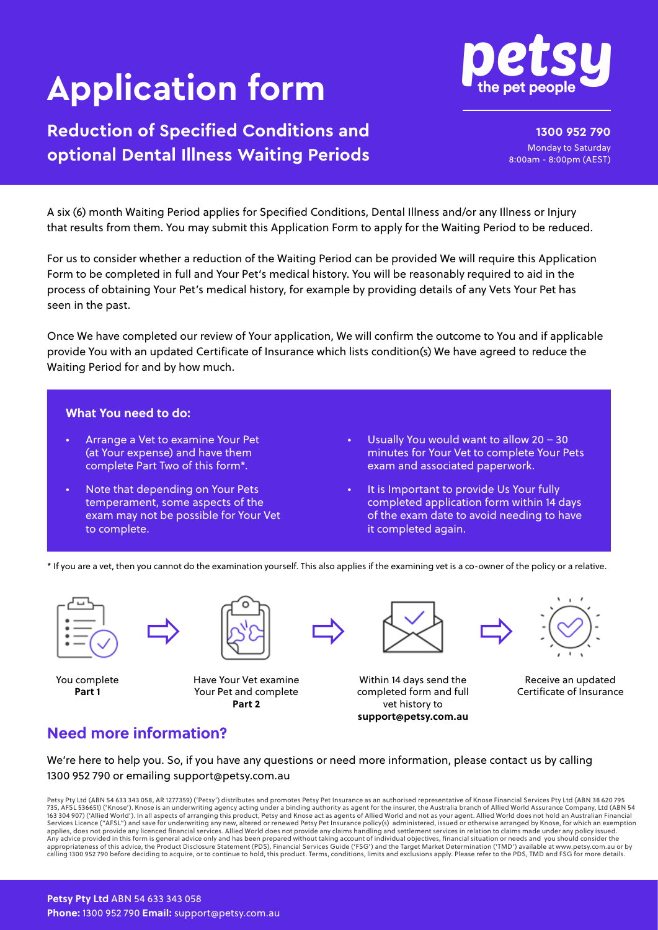# **Application form**

# **Reduction of Specified Conditions and optional Dental Illness Waiting Periods**

**1300 952 790** Monday to Saturday 8:00am - 8:00pm (AEST)

A six (6) month Waiting Period applies for Specified Conditions, Dental Illness and/or any Illness or Injury that results from them. You may submit this Application Form to apply for the Waiting Period to be reduced.

For us to consider whether a reduction of the Waiting Period can be provided We will require this Application Form to be completed in full and Your Pet's medical history. You will be reasonably required to aid in the process of obtaining Your Pet's medical history, for example by providing details of any Vets Your Pet has seen in the past.

Once We have completed our review of Your application, We will confirm the outcome to You and if applicable provide You with an updated Certificate of Insurance which lists condition(s) We have agreed to reduce the Waiting Period for and by how much.

#### **What You need to do:**

- Arrange a Vet to examine Your Pet (at Your expense) and have them complete Part Two of this form\*.
- Note that depending on Your Pets temperament, some aspects of the exam may not be possible for Your Vet to complete.
- Usually You would want to allow  $20 30$ minutes for Your Vet to complete Your Pets exam and associated paperwork.
- It is Important to provide Us Your fully completed application form within 14 days of the exam date to avoid needing to have it completed again.

\* If you are a vet, then you cannot do the examination yourself. This also applies if the examining vet is a co-owner of the policy or a relative.



You complete **Part 1**



Have Your Vet examine Your Pet and complete **Part 2**



Within 14 days send the completed form and full vet history to **support@petsy.com.au**

Receive an updated Certificate of Insurance

# **Need more information?**

We're here to help you. So, if you have any questions or need more information, please contact us by calling 1300 952 790 or emailing support@petsy.com.au

Petsy Pty Ltd (ABN 54 633 343 058, AR 1277359) ('Petsy') distributes and promotes Petsy Pet Insurance as an authorised representative of Knose Financial Services Pty Ltd (ABN 38 620 795 735, AFSL 536651) ('Knose'). Knose is an underwriting agency acting under a binding authority as agent for the insurer, the Australia branch of Allied World Assurance Company, Ltd (ABN 54<br>163 304 907) ('Allied World'). In Services Licence ("AFSL") and save for underwriting any new, altered or renewed Petsy Pet Insurance policy(s) administered, issued or otherwise arranged by Knose, for which an exemption<br>applies, does not provide any licenc Any advice provided in this form is general advice only and has been prepared without taking account of individual objectives, financial situation or needs and you should consider the<br>appropriateness of this advice, the P calling 1300 952 790 before deciding to acquire, or to continue to hold, this product. Terms, conditions, limits and exclusions apply. Please refer to the PDS, TMD and FSG for more details.

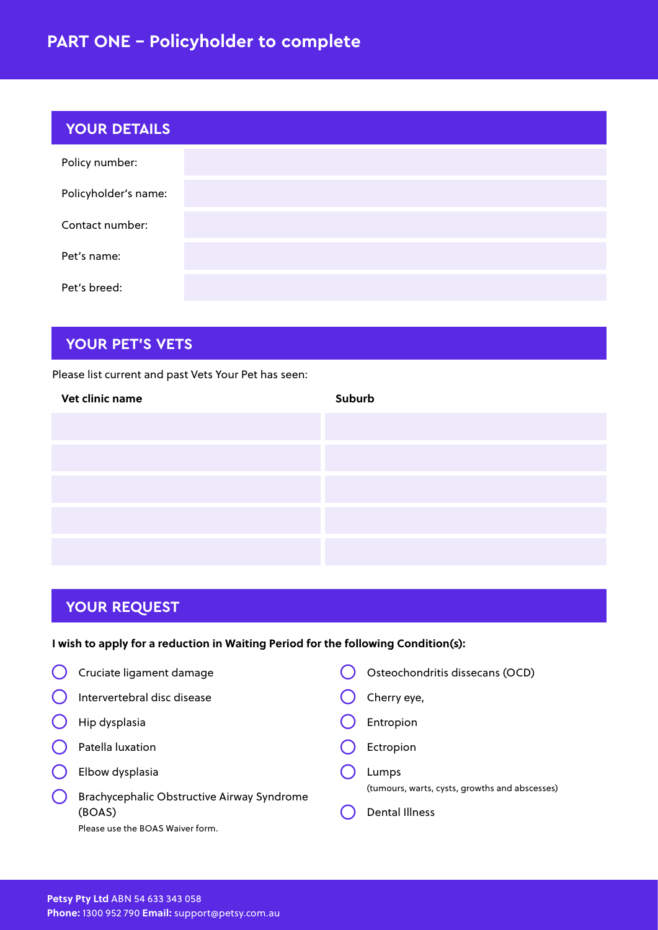# **PART ONE – Policyholder to complete**

| <b>YOUR DETAILS</b>  |  |
|----------------------|--|
| Policy number:       |  |
| Policyholder's name: |  |
| Contact number:      |  |
| Pet's name:          |  |
| Pet's breed:         |  |

## **YOUR PET'S VETS**

Please list current and past Vets Your Pet has seen:

| Vet clinic name | Suburb |
|-----------------|--------|
|                 |        |
|                 |        |
|                 |        |
|                 |        |
|                 |        |
|                 |        |

# **YOUR REQUEST**

#### **I wish to apply for a reduction in Waiting Period for the following Condition(s):**

| Cruciate ligament damage                             | Osteochondritis dissecans (OCD)                                         |
|------------------------------------------------------|-------------------------------------------------------------------------|
| Intervertebral disc disease                          | Cherry eye,                                                             |
| Hip dysplasia                                        | Entropion                                                               |
| Patella luxation                                     | Ectropion                                                               |
| Elbow dysplasia                                      | Lumps                                                                   |
| Brachycephalic Obstructive Airway Syndrome<br>(BOAS) | (tumours, warts, cysts, growths and abscesses)<br><b>Dental Illness</b> |
| Please use the BOAS Waiver form.                     |                                                                         |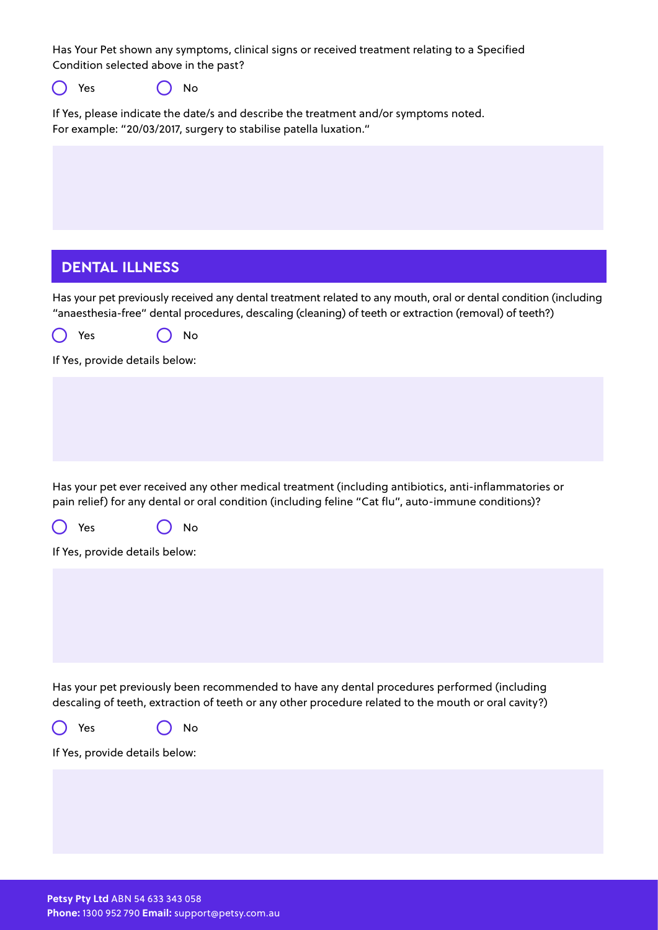Has Your Pet shown any symptoms, clinical signs or received treatment relating to a Specified Condition selected above in the past?

 $\bigcap$  Yes  $\bigcap$  No

If Yes, please indicate the date/s and describe the treatment and/or symptoms noted. For example: "20/03/2017, surgery to stabilise patella luxation."

## **DENTAL ILLNESS**

Has your pet previously received any dental treatment related to any mouth, oral or dental condition (including "anaesthesia-free" dental procedures, descaling (cleaning) of teeth or extraction (removal) of teeth?)

| $\bigcirc$ Yes | $\bigcirc$ No |
|----------------|---------------|
|----------------|---------------|

If Yes, provide details below:

Has your pet ever received any other medical treatment (including antibiotics, anti-inflammatories or pain relief) for any dental or oral condition (including feline "Cat flu", auto-immune conditions)?

| $\bigcirc$ Yes | $\bigcirc$ No |  |
|----------------|---------------|--|
|                |               |  |

If Yes, provide details below:

Has your pet previously been recommended to have any dental procedures performed (including descaling of teeth, extraction of teeth or any other procedure related to the mouth or oral cavity?)

O Yes O No

If Yes, provide details below: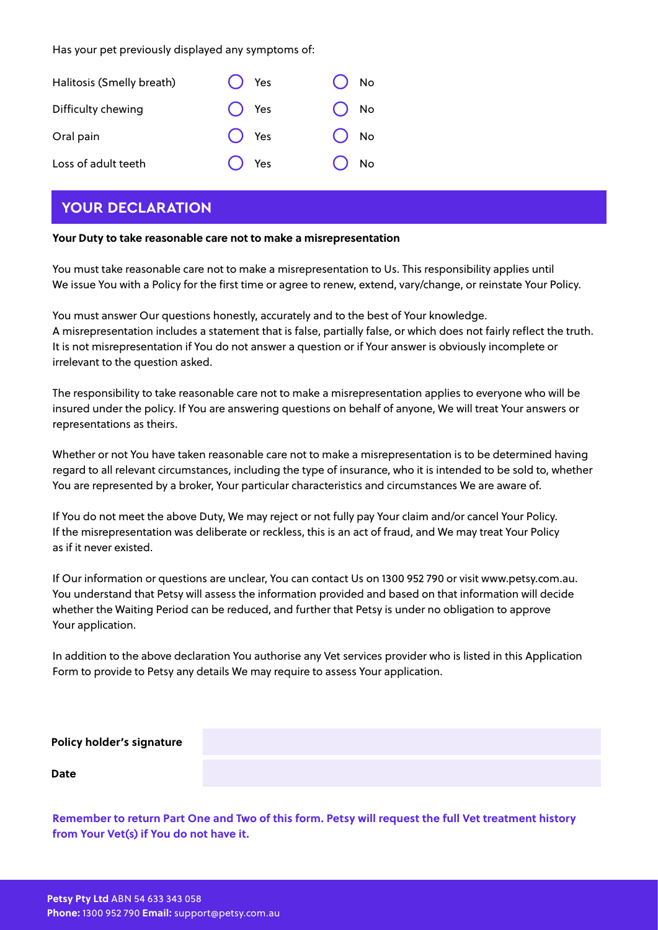Has your pet previously displayed any symptoms of:

| Halitosis (Smelly breath) | $\bigcap$ Yes | $\bigcap$ No  |
|---------------------------|---------------|---------------|
| Difficulty chewing        | $\bigcap$ Yes | $\bigcap$ No  |
| Oral pain                 | $\bigcap$ Yes | $\bigcirc$ No |
| Loss of adult teeth       | $\bigcap$ Yes | $\bigcap$ No  |

## **YOUR DECLARATION**

#### **Your Duty to take reasonable care not to make a misrepresentation**

You must take reasonable care not to make a misrepresentation to Us. This responsibility applies until We issue You with a Policy for the first time or agree to renew, extend, vary/change, or reinstate Your Policy.

You must answer Our questions honestly, accurately and to the best of Your knowledge. A misrepresentation includes a statement that is false, partially false, or which does not fairly reflect the truth. It is not misrepresentation if You do not answer a question or if Your answer is obviously incomplete or irrelevant to the question asked.

The responsibility to take reasonable care not to make a misrepresentation applies to everyone who will be insured under the policy. If You are answering questions on behalf of anyone, We will treat Your answers or representations as theirs.

Whether or not You have taken reasonable care not to make a misrepresentation is to be determined having regard to all relevant circumstances, including the type of insurance, who it is intended to be sold to, whether You are represented by a broker, Your particular characteristics and circumstances We are aware of.

If You do not meet the above Duty, We may reject or not fully pay Your claim and/or cancel Your Policy. If the misrepresentation was deliberate or reckless, this is an act of fraud, and We may treat Your Policy as if it never existed.

If Our information or questions are unclear, You can contact Us on 1300 952 790 or visit www.petsy.com.au. You understand that Petsy will assess the information provided and based on that information will decide whether the Waiting Period can be reduced, and further that Petsy is under no obligation to approve Your application.

In addition to the above declaration You authorise any Vet services provider who is listed in this Application Form to provide to Petsy any details We may require to assess Your application.

| <b>Policy holder's signature</b> |  |
|----------------------------------|--|
| <b>Date</b>                      |  |

**Remember to return Part One and Two of this form. Petsy will request the full Vet treatment history from Your Vet(s) if You do not have it.**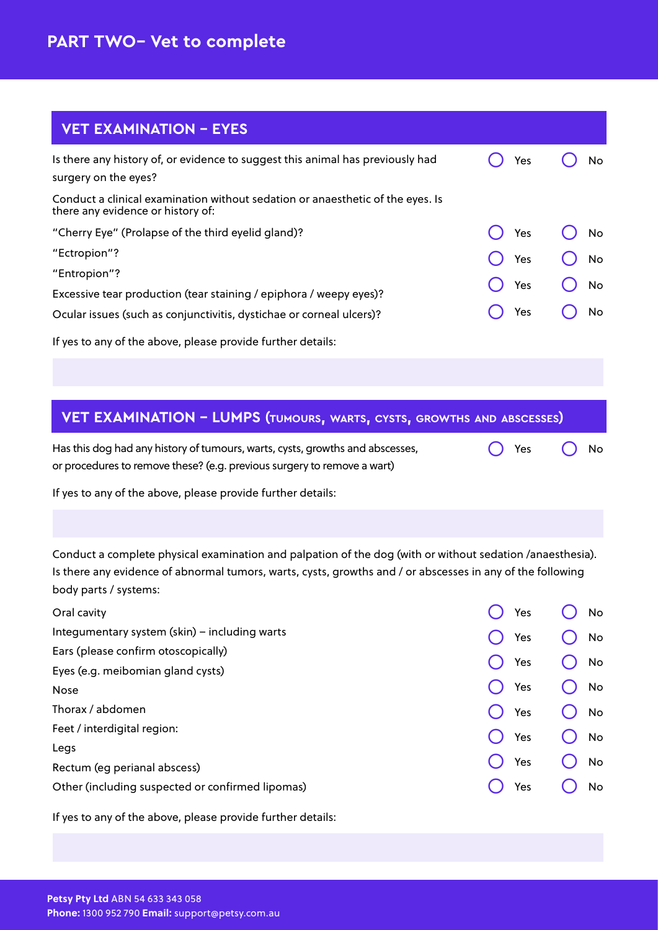# **VET EXAMINATION - EYES**

| Is there any history of, or evidence to suggest this animal has previously had<br>surgery on the eyes?              | Yes | No        |
|---------------------------------------------------------------------------------------------------------------------|-----|-----------|
| Conduct a clinical examination without sedation or anaesthetic of the eyes. Is<br>there any evidence or history of: |     |           |
| "Cherry Eye" (Prolapse of the third eyelid gland)?                                                                  | Yes | No        |
| "Ectropion"?                                                                                                        | Yes | <b>No</b> |
| "Entropion"?                                                                                                        | Yes | No        |
| Excessive tear production (tear staining / epiphora / weepy eyes)?                                                  |     |           |
| Ocular issues (such as conjunctivitis, dystichae or corneal ulcers)?                                                | Yes | No        |
| If yes to any of the above, please provide further details:                                                         |     |           |

## **VET EXAMINATION - LUMPS (tumours, warts, cysts, growths and abscesses)**

| Has this dog had any history of tumours, warts, cysts, growths and abscesses, | $\bigcap$ Yes $\bigcap$ No |  |
|-------------------------------------------------------------------------------|----------------------------|--|
| or procedures to remove these? (e.g. previous surgery to remove a wart)       |                            |  |

If yes to any of the above, please provide further details:

Conduct a complete physical examination and palpation of the dog (with or without sedation /anaesthesia). Is there any evidence of abnormal tumors, warts, cysts, growths and / or abscesses in any of the following body parts / systems:

|  |                                                      | No        |
|--|------------------------------------------------------|-----------|
|  |                                                      | No        |
|  |                                                      | No        |
|  |                                                      |           |
|  |                                                      | No        |
|  |                                                      | No        |
|  |                                                      | No        |
|  |                                                      |           |
|  |                                                      | No        |
|  |                                                      | <b>No</b> |
|  | Yes<br>Yes<br>Yes<br>Yes<br>Yes<br>Yes<br>Yes<br>Yes |           |

If yes to any of the above, please provide further details: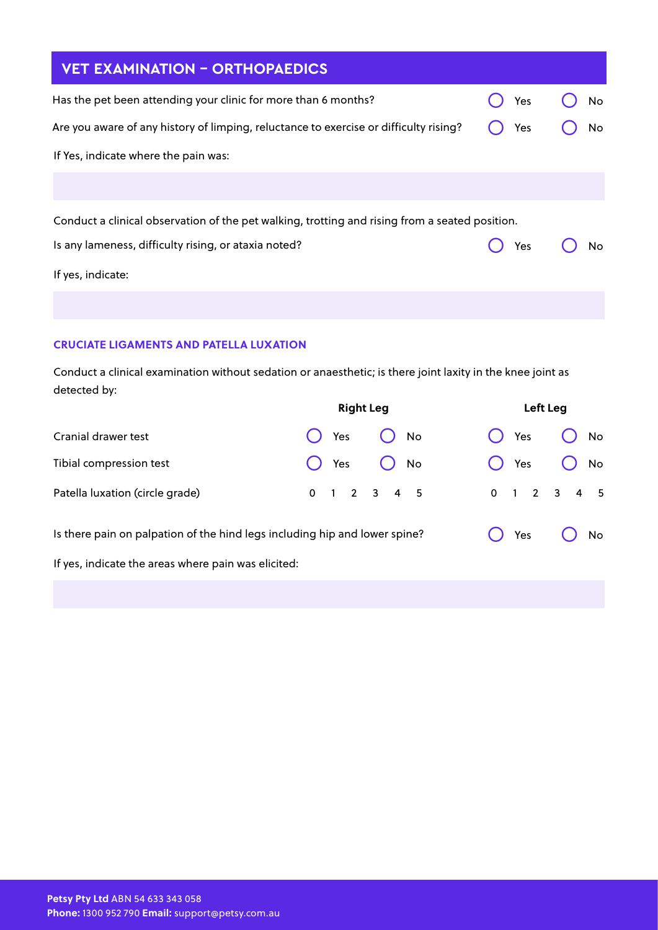| <b>VET EXAMINATION - ORTHOPAEDICS</b>                                                          |     |           |
|------------------------------------------------------------------------------------------------|-----|-----------|
| Has the pet been attending your clinic for more than 6 months?                                 | Yes | No        |
| Are you aware of any history of limping, reluctance to exercise or difficulty rising?          | Yes | <b>No</b> |
| If Yes, indicate where the pain was:                                                           |     |           |
|                                                                                                |     |           |
| Conduct a clinical observation of the pet walking, trotting and rising from a seated position. |     |           |
| Is any lameness, difficulty rising, or ataxia noted?                                           | Yes | No        |
| If yes, indicate:                                                                              |     |           |
|                                                                                                |     |           |

#### **CRUCIATE LIGAMENTS AND PATELLA LUXATION**

Conduct a clinical examination without sedation or anaesthetic; is there joint laxity in the knee joint as detected by:

|                                                                            | <b>Right Leg</b>        | Left Leg      |
|----------------------------------------------------------------------------|-------------------------|---------------|
| Cranial drawer test                                                        | Yes<br>No               | No<br>Yes     |
| Tibial compression test                                                    | No<br>Yes               | No<br>Yes     |
| Patella luxation (circle grade)                                            | $0 \t1 \t2 \t3 \t4 \t5$ | $0$ 1 2 3 4 5 |
| Is there pain on palpation of the hind legs including hip and lower spine? |                         | Yes<br>No     |
| If yes, indicate the areas where pain was elicited:                        |                         |               |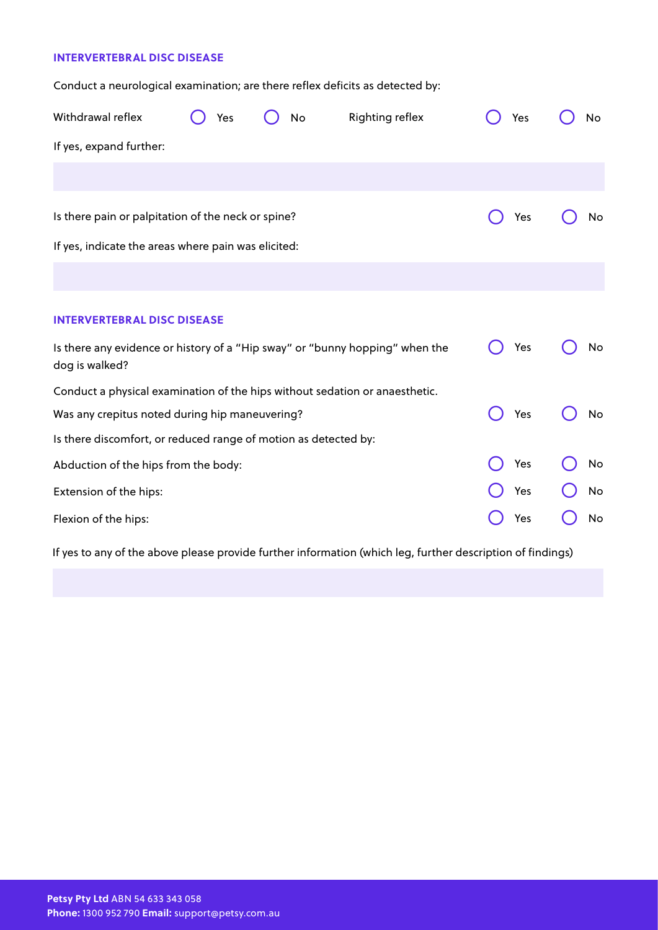#### **INTERVERTEBRAL DISC DISEASE**

Conduct a neurological examination; are there reflex deficits as detected by:

| Withdrawal reflex                                                                              | Yes | No | Righting reflex | Yes | No |
|------------------------------------------------------------------------------------------------|-----|----|-----------------|-----|----|
| If yes, expand further:                                                                        |     |    |                 |     |    |
|                                                                                                |     |    |                 |     |    |
| Is there pain or palpitation of the neck or spine?                                             |     |    |                 | Yes | No |
| If yes, indicate the areas where pain was elicited:                                            |     |    |                 |     |    |
|                                                                                                |     |    |                 |     |    |
| <b>INTERVERTEBRAL DISC DISEASE</b>                                                             |     |    |                 |     |    |
|                                                                                                |     |    |                 |     |    |
| Is there any evidence or history of a "Hip sway" or "bunny hopping" when the<br>dog is walked? |     |    |                 | Yes | No |
| Conduct a physical examination of the hips without sedation or anaesthetic.                    |     |    |                 |     |    |
| Was any crepitus noted during hip maneuvering?                                                 |     |    |                 | Yes | No |
| Is there discomfort, or reduced range of motion as detected by:                                |     |    |                 |     |    |
| Abduction of the hips from the body:                                                           |     |    |                 | Yes | No |
| Extension of the hips:                                                                         |     |    |                 | Yes | No |
| Flexion of the hips:                                                                           |     |    |                 | Yes | No |

If yes to any of the above please provide further information (which leg, further description of findings)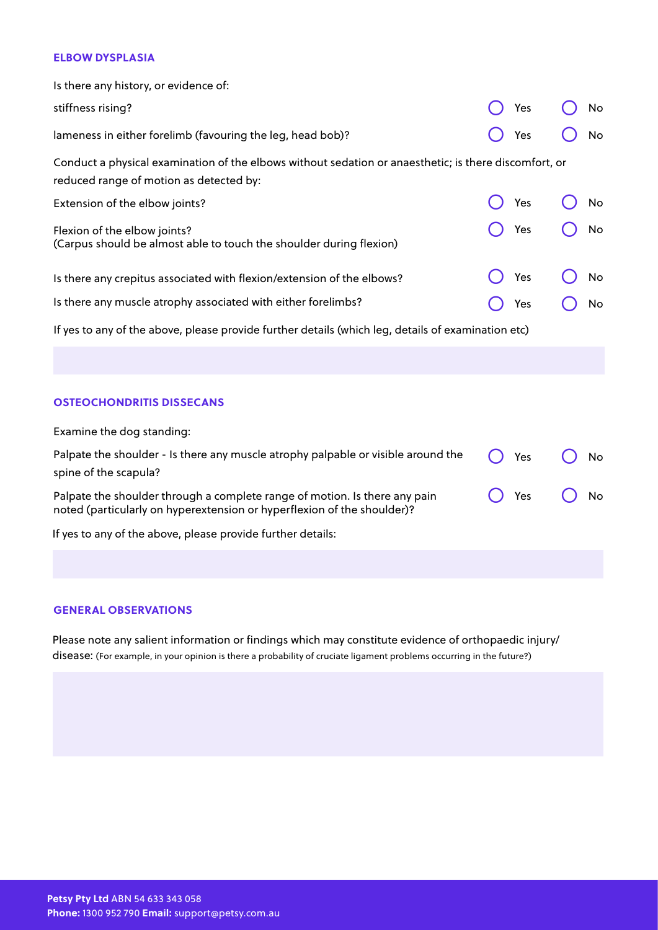#### **ELBOW DYSPLASIA**

| Is there any history, or evidence of:                                                                                                            |     |           |
|--------------------------------------------------------------------------------------------------------------------------------------------------|-----|-----------|
| stiffness rising?                                                                                                                                | Yes | No        |
| lameness in either forelimb (favouring the leg, head bob)?                                                                                       | Yes | <b>No</b> |
| Conduct a physical examination of the elbows without sedation or anaesthetic; is there discomfort, or<br>reduced range of motion as detected by: |     |           |
| Extension of the elbow joints?                                                                                                                   | Yes | No        |
| Flexion of the elbow joints?<br>(Carpus should be almost able to touch the shoulder during flexion)                                              | Yes | <b>No</b> |
| Is there any crepitus associated with flexion/extension of the elbows?                                                                           | Yes | No        |
| Is there any muscle atrophy associated with either forelimbs?                                                                                    | Yes | No        |
| If yes to any of the above, please provide further details (which leg, details of examination etc)                                               |     |           |

#### **OSTEOCHONDRITIS DISSECANS**

| Examine the dog standing:                                                                                                                             |     |    |
|-------------------------------------------------------------------------------------------------------------------------------------------------------|-----|----|
| Palpate the shoulder - Is there any muscle atrophy palpable or visible around the<br>spine of the scapula?                                            | Yes | No |
| Palpate the shoulder through a complete range of motion. Is there any pain<br>noted (particularly on hyperextension or hyperflexion of the shoulder)? | Yes | No |
| If yes to any of the above, please provide further details:                                                                                           |     |    |
|                                                                                                                                                       |     |    |

#### **GENERAL OBSERVATIONS**

Please note any salient information or findings which may constitute evidence of orthopaedic injury/ disease: (For example, in your opinion is there a probability of cruciate ligament problems occurring in the future?)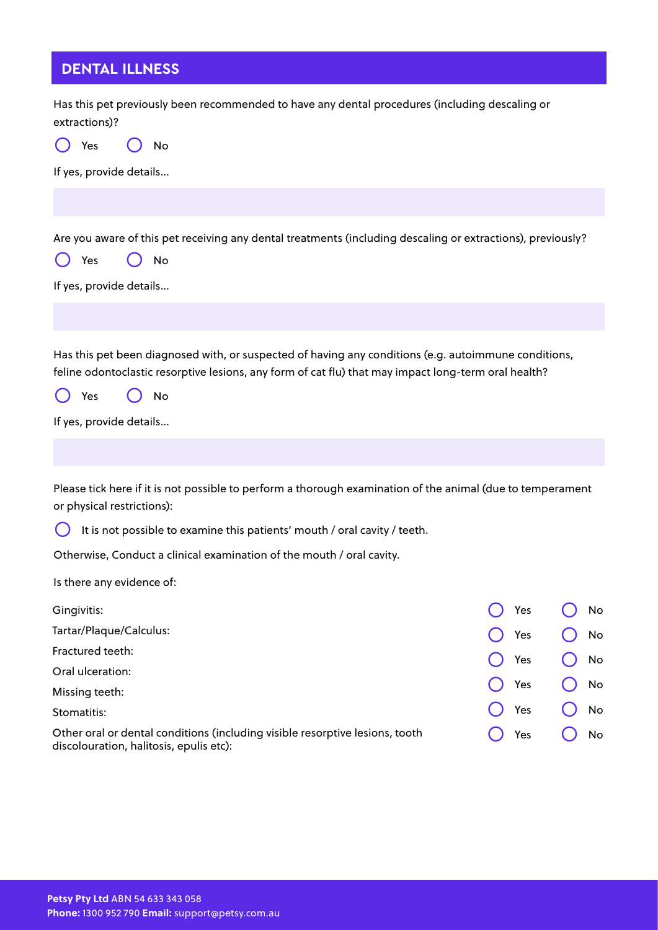# **DENTAL ILLNESS**

| Has this pet previously been recommended to have any dental procedures (including descaling or<br>extractions)?                                                                                                                                      |     |    |
|------------------------------------------------------------------------------------------------------------------------------------------------------------------------------------------------------------------------------------------------------|-----|----|
| Yes<br>No                                                                                                                                                                                                                                            |     |    |
| If yes, provide details                                                                                                                                                                                                                              |     |    |
|                                                                                                                                                                                                                                                      |     |    |
| Are you aware of this pet receiving any dental treatments (including descaling or extractions), previously?<br>Yes<br>No<br>If yes, provide details                                                                                                  |     |    |
| Has this pet been diagnosed with, or suspected of having any conditions (e.g. autoimmune conditions,<br>feline odontoclastic resorptive lesions, any form of cat flu) that may impact long-term oral health?<br>Yes<br>No<br>If yes, provide details |     |    |
|                                                                                                                                                                                                                                                      |     |    |
| Please tick here if it is not possible to perform a thorough examination of the animal (due to temperament<br>or physical restrictions):                                                                                                             |     |    |
| $\left( \begin{array}{c} \end{array} \right)$<br>It is not possible to examine this patients' mouth / oral cavity / teeth.                                                                                                                           |     |    |
| Otherwise, Conduct a clinical examination of the mouth / oral cavity.                                                                                                                                                                                |     |    |
| Is there any evidence of:                                                                                                                                                                                                                            |     |    |
| Gingivitis:                                                                                                                                                                                                                                          | Yes | No |
| Tartar/Plaque/Calculus:                                                                                                                                                                                                                              | Yes | No |
| Fractured teeth:                                                                                                                                                                                                                                     | Yes | No |
| Oral ulceration:                                                                                                                                                                                                                                     |     |    |
| Missing teeth:                                                                                                                                                                                                                                       | Yes | No |
| Stomatitis:                                                                                                                                                                                                                                          | Yes | No |
| Other oral or dental conditions (including visible resorptive lesions, tooth<br>discolouration, halitosis, epulis etc):                                                                                                                              | Yes | No |